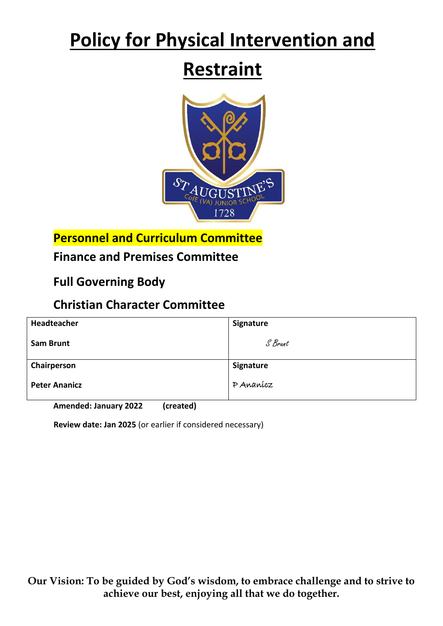# **Policy for Physical Intervention and**

# **Restraint**



**Personnel and Curriculum Committee**

## **Finance and Premises Committee**

**Full Governing Body** 

## **Christian Character Committee**

| Headteacher          | Signature |
|----------------------|-----------|
| <b>Sam Brunt</b>     | S Brunt   |
| Chairperson          | Signature |
| <b>Peter Ananicz</b> | P Ananícz |

**Amended: January 2022 (created)**

**Review date: Jan 2025** (or earlier if considered necessary)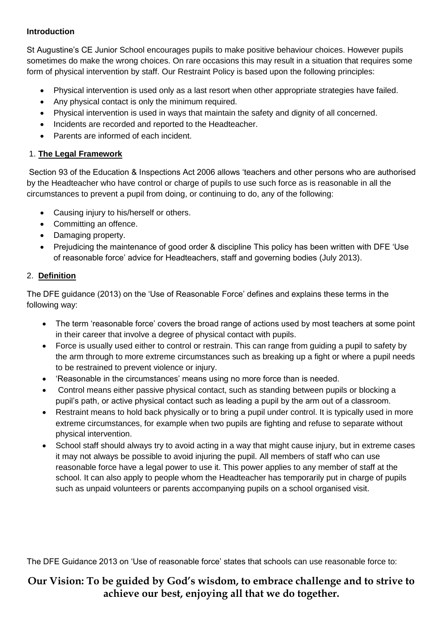#### **Introduction**

St Augustine's CE Junior School encourages pupils to make positive behaviour choices. However pupils sometimes do make the wrong choices. On rare occasions this may result in a situation that requires some form of physical intervention by staff. Our Restraint Policy is based upon the following principles:

- Physical intervention is used only as a last resort when other appropriate strategies have failed.
- Any physical contact is only the minimum required.
- Physical intervention is used in ways that maintain the safety and dignity of all concerned.
- Incidents are recorded and reported to the Headteacher.
- Parents are informed of each incident.

#### 1. **The Legal Framework**

Section 93 of the Education & Inspections Act 2006 allows 'teachers and other persons who are authorised by the Headteacher who have control or charge of pupils to use such force as is reasonable in all the circumstances to prevent a pupil from doing, or continuing to do, any of the following:

- Causing injury to his/herself or others.
- Committing an offence.
- Damaging property.
- Prejudicing the maintenance of good order & discipline This policy has been written with DFE 'Use of reasonable force' advice for Headteachers, staff and governing bodies (July 2013).

#### 2. **Definition**

The DFE guidance (2013) on the 'Use of Reasonable Force' defines and explains these terms in the following way:

- The term 'reasonable force' covers the broad range of actions used by most teachers at some point in their career that involve a degree of physical contact with pupils.
- Force is usually used either to control or restrain. This can range from guiding a pupil to safety by the arm through to more extreme circumstances such as breaking up a fight or where a pupil needs to be restrained to prevent violence or injury.
- 'Reasonable in the circumstances' means using no more force than is needed.
- Control means either passive physical contact, such as standing between pupils or blocking a pupil's path, or active physical contact such as leading a pupil by the arm out of a classroom.
- Restraint means to hold back physically or to bring a pupil under control. It is typically used in more extreme circumstances, for example when two pupils are fighting and refuse to separate without physical intervention.
- School staff should always try to avoid acting in a way that might cause injury, but in extreme cases it may not always be possible to avoid injuring the pupil. All members of staff who can use reasonable force have a legal power to use it. This power applies to any member of staff at the school. It can also apply to people whom the Headteacher has temporarily put in charge of pupils such as unpaid volunteers or parents accompanying pupils on a school organised visit.

The DFE Guidance 2013 on 'Use of reasonable force' states that schools can use reasonable force to: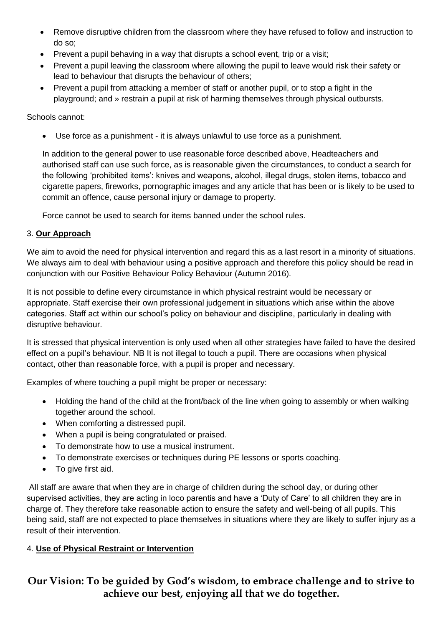- Remove disruptive children from the classroom where they have refused to follow and instruction to do so;
- Prevent a pupil behaving in a way that disrupts a school event, trip or a visit;
- Prevent a pupil leaving the classroom where allowing the pupil to leave would risk their safety or lead to behaviour that disrupts the behaviour of others;
- Prevent a pupil from attacking a member of staff or another pupil, or to stop a fight in the playground; and » restrain a pupil at risk of harming themselves through physical outbursts.

Schools cannot:

Use force as a punishment - it is always unlawful to use force as a punishment.

In addition to the general power to use reasonable force described above, Headteachers and authorised staff can use such force, as is reasonable given the circumstances, to conduct a search for the following 'prohibited items': knives and weapons, alcohol, illegal drugs, stolen items, tobacco and cigarette papers, fireworks, pornographic images and any article that has been or is likely to be used to commit an offence, cause personal injury or damage to property.

Force cannot be used to search for items banned under the school rules.

#### 3. **Our Approach**

We aim to avoid the need for physical intervention and regard this as a last resort in a minority of situations. We always aim to deal with behaviour using a positive approach and therefore this policy should be read in conjunction with our Positive Behaviour Policy Behaviour (Autumn 2016).

It is not possible to define every circumstance in which physical restraint would be necessary or appropriate. Staff exercise their own professional judgement in situations which arise within the above categories. Staff act within our school's policy on behaviour and discipline, particularly in dealing with disruptive behaviour.

It is stressed that physical intervention is only used when all other strategies have failed to have the desired effect on a pupil's behaviour. NB It is not illegal to touch a pupil. There are occasions when physical contact, other than reasonable force, with a pupil is proper and necessary.

Examples of where touching a pupil might be proper or necessary:

- Holding the hand of the child at the front/back of the line when going to assembly or when walking together around the school.
- When comforting a distressed pupil.
- When a pupil is being congratulated or praised.
- To demonstrate how to use a musical instrument.
- To demonstrate exercises or techniques during PE lessons or sports coaching.
- To give first aid.

All staff are aware that when they are in charge of children during the school day, or during other supervised activities, they are acting in loco parentis and have a 'Duty of Care' to all children they are in charge of. They therefore take reasonable action to ensure the safety and well-being of all pupils. This being said, staff are not expected to place themselves in situations where they are likely to suffer injury as a result of their intervention.

#### 4. **Use of Physical Restraint or Intervention**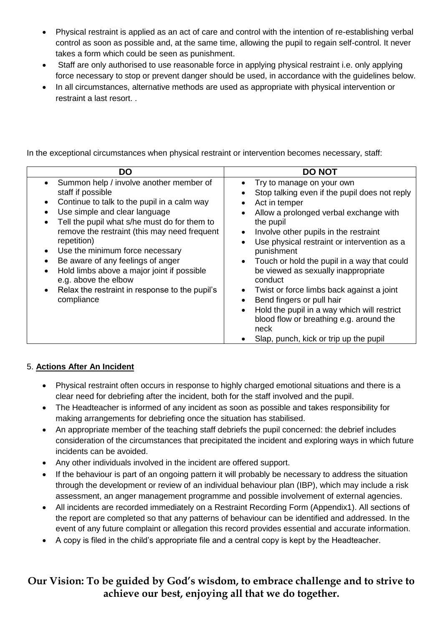- Physical restraint is applied as an act of care and control with the intention of re-establishing verbal control as soon as possible and, at the same time, allowing the pupil to regain self-control. It never takes a form which could be seen as punishment.
- Staff are only authorised to use reasonable force in applying physical restraint i.e. only applying force necessary to stop or prevent danger should be used, in accordance with the guidelines below.
- In all circumstances, alternative methods are used as appropriate with physical intervention or restraint a last resort. .

In the exceptional circumstances when physical restraint or intervention becomes necessary, staff:

| DO                                                                                                                                                                                                                                                                                                                                                                                                                                                                                                                                                          | <b>DO NOT</b>                                                                                                                                                                                                                                                                                                                                                                                                                                                                                                                                                                                                                                                                             |
|-------------------------------------------------------------------------------------------------------------------------------------------------------------------------------------------------------------------------------------------------------------------------------------------------------------------------------------------------------------------------------------------------------------------------------------------------------------------------------------------------------------------------------------------------------------|-------------------------------------------------------------------------------------------------------------------------------------------------------------------------------------------------------------------------------------------------------------------------------------------------------------------------------------------------------------------------------------------------------------------------------------------------------------------------------------------------------------------------------------------------------------------------------------------------------------------------------------------------------------------------------------------|
| • Summon help / involve another member of<br>staff if possible<br>Continue to talk to the pupil in a calm way<br>$\bullet$<br>Use simple and clear language<br>$\bullet$<br>Tell the pupil what s/he must do for them to<br>$\bullet$<br>remove the restraint (this may need frequent<br>repetition)<br>Use the minimum force necessary<br>$\bullet$<br>Be aware of any feelings of anger<br>$\bullet$<br>Hold limbs above a major joint if possible<br>$\bullet$<br>e.g. above the elbow<br>• Relax the restraint in response to the pupil's<br>compliance | Try to manage on your own<br>$\bullet$<br>Stop talking even if the pupil does not reply<br>$\bullet$<br>Act in temper<br>$\bullet$<br>Allow a prolonged verbal exchange with<br>$\bullet$<br>the pupil<br>Involve other pupils in the restraint<br>$\bullet$<br>Use physical restraint or intervention as a<br>$\bullet$<br>punishment<br>• Touch or hold the pupil in a way that could<br>be viewed as sexually inappropriate<br>conduct<br>Twist or force limbs back against a joint<br>$\bullet$<br>Bend fingers or pull hair<br>Hold the pupil in a way which will restrict<br>$\bullet$<br>blood flow or breathing e.g. around the<br>neck<br>Slap, punch, kick or trip up the pupil |

#### 5. **Actions After An Incident**

- Physical restraint often occurs in response to highly charged emotional situations and there is a clear need for debriefing after the incident, both for the staff involved and the pupil.
- The Headteacher is informed of any incident as soon as possible and takes responsibility for making arrangements for debriefing once the situation has stabilised.
- An appropriate member of the teaching staff debriefs the pupil concerned: the debrief includes consideration of the circumstances that precipitated the incident and exploring ways in which future incidents can be avoided.
- Any other individuals involved in the incident are offered support.
- If the behaviour is part of an ongoing pattern it will probably be necessary to address the situation through the development or review of an individual behaviour plan (IBP), which may include a risk assessment, an anger management programme and possible involvement of external agencies.
- All incidents are recorded immediately on a Restraint Recording Form (Appendix1). All sections of the report are completed so that any patterns of behaviour can be identified and addressed. In the event of any future complaint or allegation this record provides essential and accurate information.
- A copy is filed in the child's appropriate file and a central copy is kept by the Headteacher.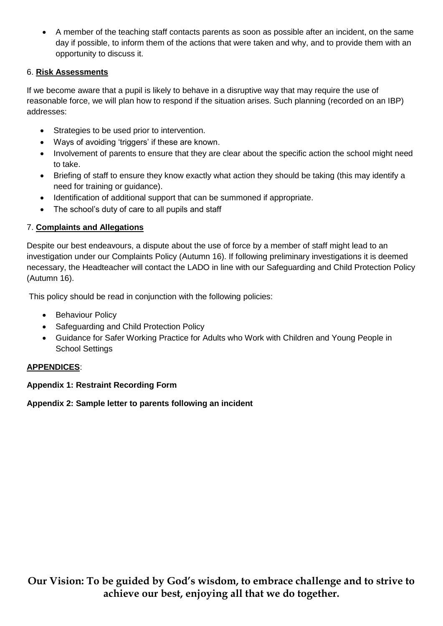A member of the teaching staff contacts parents as soon as possible after an incident, on the same day if possible, to inform them of the actions that were taken and why, and to provide them with an opportunity to discuss it.

#### 6. **Risk Assessments**

If we become aware that a pupil is likely to behave in a disruptive way that may require the use of reasonable force, we will plan how to respond if the situation arises. Such planning (recorded on an IBP) addresses:

- Strategies to be used prior to intervention.
- Ways of avoiding 'triggers' if these are known.
- Involvement of parents to ensure that they are clear about the specific action the school might need to take.
- Briefing of staff to ensure they know exactly what action they should be taking (this may identify a need for training or guidance).
- Identification of additional support that can be summoned if appropriate.
- The school's duty of care to all pupils and staff

#### 7. **Complaints and Allegations**

Despite our best endeavours, a dispute about the use of force by a member of staff might lead to an investigation under our Complaints Policy (Autumn 16). If following preliminary investigations it is deemed necessary, the Headteacher will contact the LADO in line with our Safeguarding and Child Protection Policy (Autumn 16).

This policy should be read in conjunction with the following policies:

- Behaviour Policy
- Safeguarding and Child Protection Policy
- Guidance for Safer Working Practice for Adults who Work with Children and Young People in School Settings

#### **APPENDICES**:

#### **Appendix 1: Restraint Recording Form**

#### **Appendix 2: Sample letter to parents following an incident**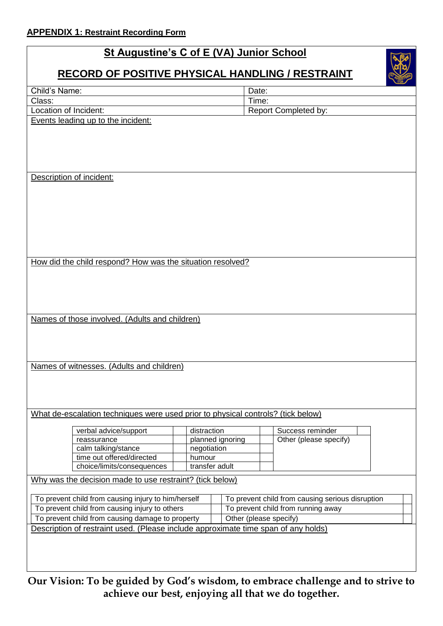## **St Augustine's C of E (VA) Junior School**

## **RECORD OF POSITIVE PHYSICAL HANDLING / RESTRAINT**

|                                                                                    |                        |                                                  | <b>CARGRESS</b>                    |  |
|------------------------------------------------------------------------------------|------------------------|--------------------------------------------------|------------------------------------|--|
| Child's Name:                                                                      |                        | Date:                                            |                                    |  |
| Class:                                                                             |                        | Time:                                            |                                    |  |
| Location of Incident:                                                              |                        |                                                  | <b>Report Completed by:</b>        |  |
| Events leading up to the incident:                                                 |                        |                                                  |                                    |  |
|                                                                                    |                        |                                                  |                                    |  |
|                                                                                    |                        |                                                  |                                    |  |
|                                                                                    |                        |                                                  |                                    |  |
|                                                                                    |                        |                                                  |                                    |  |
| Description of incident:                                                           |                        |                                                  |                                    |  |
|                                                                                    |                        |                                                  |                                    |  |
|                                                                                    |                        |                                                  |                                    |  |
|                                                                                    |                        |                                                  |                                    |  |
|                                                                                    |                        |                                                  |                                    |  |
|                                                                                    |                        |                                                  |                                    |  |
|                                                                                    |                        |                                                  |                                    |  |
|                                                                                    |                        |                                                  |                                    |  |
|                                                                                    |                        |                                                  |                                    |  |
| How did the child respond? How was the situation resolved?                         |                        |                                                  |                                    |  |
|                                                                                    |                        |                                                  |                                    |  |
|                                                                                    |                        |                                                  |                                    |  |
|                                                                                    |                        |                                                  |                                    |  |
|                                                                                    |                        |                                                  |                                    |  |
| Names of those involved. (Adults and children)                                     |                        |                                                  |                                    |  |
|                                                                                    |                        |                                                  |                                    |  |
|                                                                                    |                        |                                                  |                                    |  |
|                                                                                    |                        |                                                  |                                    |  |
|                                                                                    |                        |                                                  |                                    |  |
| Names of witnesses. (Adults and children)                                          |                        |                                                  |                                    |  |
|                                                                                    |                        |                                                  |                                    |  |
|                                                                                    |                        |                                                  |                                    |  |
|                                                                                    |                        |                                                  |                                    |  |
|                                                                                    |                        |                                                  |                                    |  |
| What de-escalation techniques were used prior to physical controls? (tick below)   |                        |                                                  |                                    |  |
| verbal advice/support                                                              | distraction            |                                                  | Success reminder                   |  |
| reassurance                                                                        | planned ignoring       |                                                  | Other (please specify)             |  |
| calm talking/stance                                                                | negotiation            |                                                  |                                    |  |
| time out offered/directed                                                          | humour                 |                                                  |                                    |  |
| choice/limits/consequences                                                         | transfer adult         |                                                  |                                    |  |
| Why was the decision made to use restraint? (tick below)                           |                        |                                                  |                                    |  |
|                                                                                    |                        |                                                  |                                    |  |
| To prevent child from causing injury to him/herself                                |                        | To prevent child from causing serious disruption |                                    |  |
| To prevent child from causing injury to others                                     |                        |                                                  | To prevent child from running away |  |
| To prevent child from causing damage to property                                   | Other (please specify) |                                                  |                                    |  |
| Description of restraint used. (Please include approximate time span of any holds) |                        |                                                  |                                    |  |
|                                                                                    |                        |                                                  |                                    |  |
|                                                                                    |                        |                                                  |                                    |  |
|                                                                                    |                        |                                                  |                                    |  |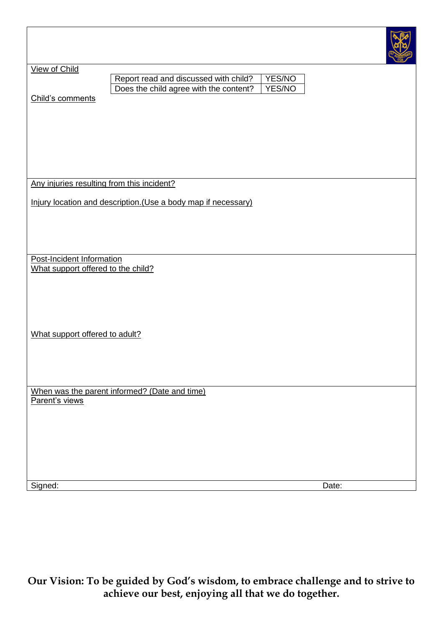| View of Child                              |                                                                |        |
|--------------------------------------------|----------------------------------------------------------------|--------|
|                                            | Report read and discussed with child?                          | YES/NO |
|                                            | Does the child agree with the content?                         | YES/NO |
| Child's comments                           |                                                                |        |
|                                            |                                                                |        |
|                                            |                                                                |        |
|                                            |                                                                |        |
|                                            |                                                                |        |
|                                            |                                                                |        |
|                                            |                                                                |        |
|                                            |                                                                |        |
|                                            |                                                                |        |
| Any injuries resulting from this incident? |                                                                |        |
|                                            |                                                                |        |
|                                            | Injury location and description. (Use a body map if necessary) |        |
|                                            |                                                                |        |
|                                            |                                                                |        |
|                                            |                                                                |        |
|                                            |                                                                |        |
|                                            |                                                                |        |
| Post-Incident Information                  |                                                                |        |
| What support offered to the child?         |                                                                |        |
|                                            |                                                                |        |
|                                            |                                                                |        |
|                                            |                                                                |        |
|                                            |                                                                |        |
|                                            |                                                                |        |
|                                            |                                                                |        |
|                                            |                                                                |        |
| What support offered to adult?             |                                                                |        |
|                                            |                                                                |        |
|                                            |                                                                |        |
|                                            |                                                                |        |
|                                            |                                                                |        |
|                                            |                                                                |        |
|                                            | When was the parent informed? (Date and time)                  |        |
| Parent's views                             |                                                                |        |
|                                            |                                                                |        |
|                                            |                                                                |        |
|                                            |                                                                |        |
|                                            |                                                                |        |
|                                            |                                                                |        |
|                                            |                                                                |        |
|                                            |                                                                |        |
|                                            |                                                                |        |
| Signed:                                    |                                                                | Date:  |